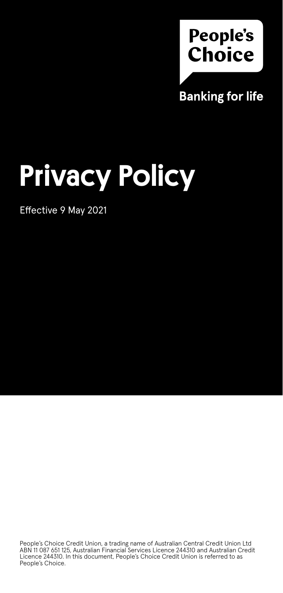

# Privacy Policy

Effective 9 May 2021

People's Choice Credit Union, a trading name of Australian Central Credit Union Ltd ABN 11 087 651 125, Australian Financial Services Licence 244310 and Australian Credit Licence 244310. In this document, People's Choice Credit Union is referred to as People's Choice.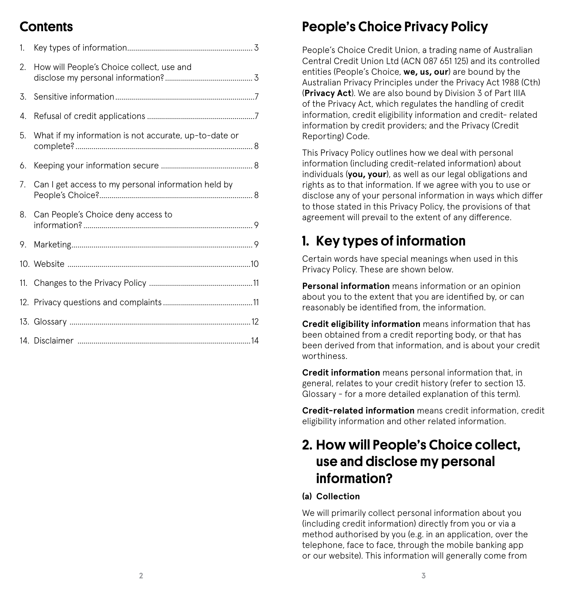#### Contents

| 1.  |                                                       |
|-----|-------------------------------------------------------|
| 2.  | How will People's Choice collect, use and             |
| 3.  |                                                       |
| 4.  |                                                       |
| 5.  | What if my information is not accurate, up-to-date or |
| 6.  |                                                       |
| 7.  | Can I get access to my personal information held by   |
| 8.  | Can People's Choice deny access to                    |
| 9.  |                                                       |
|     |                                                       |
| 11. |                                                       |
|     |                                                       |
|     |                                                       |
|     |                                                       |

### People's Choice Privacy Policy

People's Choice Credit Union, a trading name of Australian Central Credit Union Ltd (ACN 087 651 125) and its controlled entities (People's Choice, **we, us, our**) are bound by the Australian Privacy Principles under the Privacy Act 1988 (Cth) (**Privacy Act**). We are also bound by Division 3 of Part IIIA of the Privacy Act, which regulates the handling of credit information, credit eligibility information and credit- related information by credit providers; and the Privacy (Credit Reporting) Code.

This Privacy Policy outlines how we deal with personal information (including credit-related information) about individuals (**you, your**), as well as our legal obligations and rights as to that information. If we agree with you to use or disclose any of your personal information in ways which differ to those stated in this Privacy Policy, the provisions of that agreement will prevail to the extent of any difference.

### 1. Key types of information

Certain words have special meanings when used in this Privacy Policy. These are shown below.

**Personal information** means information or an opinion about you to the extent that you are identified by, or can reasonably be identified from, the information.

**Credit eligibility information** means information that has been obtained from a credit reporting body, or that has been derived from that information, and is about your credit worthiness.

**Credit information** means personal information that, in general, relates to your credit history (refer to section 13. Glossary - for a more detailed explanation of this term).

**Credit-related information** means credit information, credit eligibility information and other related information.

### 2. How will People's Choice collect, use and disclose my personal information?

#### **(a) Collection**

We will primarily collect personal information about you (including credit information) directly from you or via a method authorised by you (e.g. in an application, over the telephone, face to face, through the mobile banking app or our website). This information will generally come from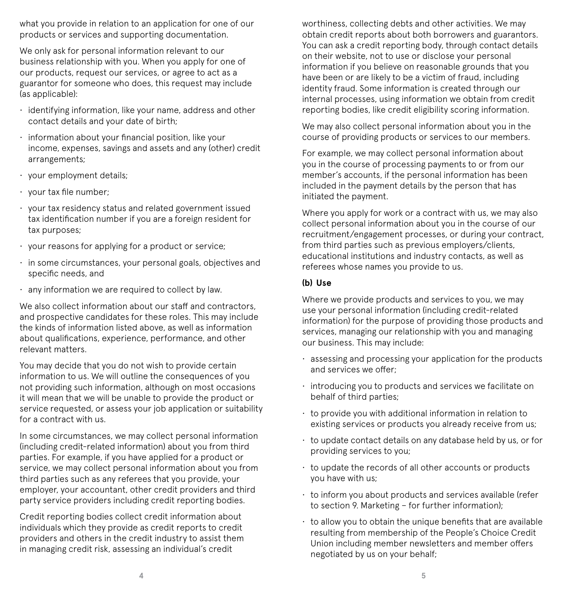what you provide in relation to an application for one of our products or services and supporting documentation.

We only ask for personal information relevant to our business relationship with you. When you apply for one of our products, request our services, or agree to act as a guarantor for someone who does, this request may include (as applicable):

- identifying information, like your name, address and other contact details and your date of birth;
- information about your financial position, like your income, expenses, savings and assets and any (other) credit arrangements;
- your employment details;
- your tax file number;
- your tax residency status and related government issued tax identification number if you are a foreign resident for tax purposes;
- your reasons for applying for a product or service;
- in some circumstances, your personal goals, objectives and specific needs, and
- any information we are required to collect by law.

We also collect information about our staff and contractors, and prospective candidates for these roles. This may include the kinds of information listed above, as well as information about qualifications, experience, performance, and other relevant matters.

You may decide that you do not wish to provide certain information to us. We will outline the consequences of you not providing such information, although on most occasions it will mean that we will be unable to provide the product or service requested, or assess your job application or suitability for a contract with us.

In some circumstances, we may collect personal information (including credit-related information) about you from third parties. For example, if you have applied for a product or service, we may collect personal information about you from third parties such as any referees that you provide, your employer, your accountant, other credit providers and third party service providers including credit reporting bodies.

Credit reporting bodies collect credit information about individuals which they provide as credit reports to credit providers and others in the credit industry to assist them in managing credit risk, assessing an individual's credit

worthiness, collecting debts and other activities. We may obtain credit reports about both borrowers and guarantors. You can ask a credit reporting body, through contact details on their website, not to use or disclose your personal information if you believe on reasonable grounds that you have been or are likely to be a victim of fraud, including identity fraud. Some information is created through our internal processes, using information we obtain from credit reporting bodies, like credit eligibility scoring information.

We may also collect personal information about you in the course of providing products or services to our members.

For example, we may collect personal information about you in the course of processing payments to or from our member's accounts, if the personal information has been included in the payment details by the person that has initiated the payment.

Where you apply for work or a contract with us, we may also collect personal information about you in the course of our recruitment/engagement processes, or during your contract, from third parties such as previous employers/clients, educational institutions and industry contacts, as well as referees whose names you provide to us.

#### **(b) Use**

Where we provide products and services to you, we may use your personal information (including credit-related information) for the purpose of providing those products and services, managing our relationship with you and managing our business. This may include:

- assessing and processing your application for the products and services we offer;
- introducing you to products and services we facilitate on behalf of third parties;
- $\cdot$  to provide you with additional information in relation to existing services or products you already receive from us;
- to update contact details on any database held by us, or for providing services to you;
- to update the records of all other accounts or products you have with us;
- to inform you about products and services available (refer to section 9. Marketing – for further information);
- $\cdot$  to allow you to obtain the unique benefits that are available resulting from membership of the People's Choice Credit Union including member newsletters and member offers negotiated by us on your behalf;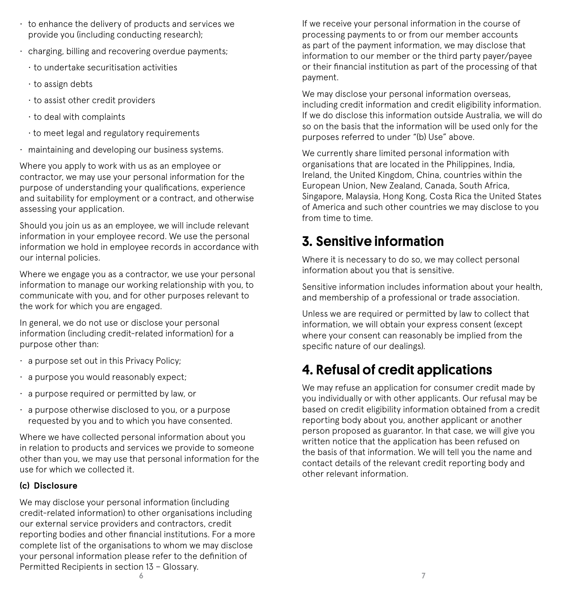- to enhance the delivery of products and services we provide you (including conducting research);
- charging, billing and recovering overdue payments;
	- to undertake securitisation activities
	- $\cdot$  to assign debts
	- to assist other credit providers
	- to deal with complaints
	- to meet legal and regulatory requirements
- maintaining and developing our business systems.

Where you apply to work with us as an employee or contractor, we may use your personal information for the purpose of understanding your qualifications, experience and suitability for employment or a contract, and otherwise assessing your application.

Should you join us as an employee, we will include relevant information in your employee record. We use the personal information we hold in employee records in accordance with our internal policies.

Where we engage you as a contractor, we use your personal information to manage our working relationship with you, to communicate with you, and for other purposes relevant to the work for which you are engaged.

In general, we do not use or disclose your personal information (including credit-related information) for a purpose other than:

- a purpose set out in this Privacy Policy;
- a purpose you would reasonably expect;
- a purpose required or permitted by law, or
- a purpose otherwise disclosed to you, or a purpose requested by you and to which you have consented.

Where we have collected personal information about you in relation to products and services we provide to someone other than you, we may use that personal information for the use for which we collected it.

#### **(c) Disclosure**

**6 7** We may disclose your personal information (including credit-related information) to other organisations including our external service providers and contractors, credit reporting bodies and other financial institutions. For a more complete list of the organisations to whom we may disclose your personal information please refer to the definition of Permitted Recipients in section 13 – Glossary.

If we receive your personal information in the course of processing payments to or from our member accounts as part of the payment information, we may disclose that information to our member or the third party payer/payee or their financial institution as part of the processing of that payment.

We may disclose your personal information overseas, including credit information and credit eligibility information. If we do disclose this information outside Australia, we will do so on the basis that the information will be used only for the purposes referred to under "(b) Use" above.

We currently share limited personal information with organisations that are located in the Philippines, India, Ireland, the United Kingdom, China, countries within the European Union, New Zealand, Canada, South Africa, Singapore, Malaysia, Hong Kong, Costa Rica the United States of America and such other countries we may disclose to you from time to time.

#### 3. Sensitive information

Where it is necessary to do so, we may collect personal information about you that is sensitive.

Sensitive information includes information about your health, and membership of a professional or trade association.

Unless we are required or permitted by law to collect that information, we will obtain your express consent (except where your consent can reasonably be implied from the specific nature of our dealings).

### 4. Refusal of credit applications

We may refuse an application for consumer credit made by you individually or with other applicants. Our refusal may be based on credit eligibility information obtained from a credit reporting body about you, another applicant or another person proposed as guarantor. In that case, we will give you written notice that the application has been refused on the basis of that information. We will tell you the name and contact details of the relevant credit reporting body and other relevant information.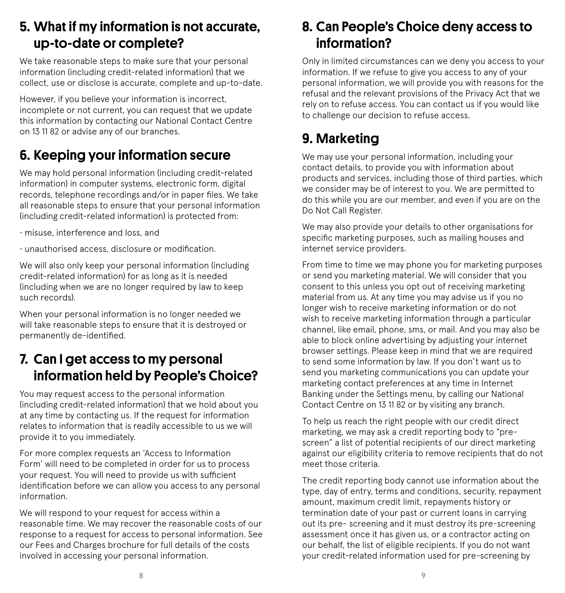#### 5. What if my information is not accurate, up-to-date or complete?

We take reasonable steps to make sure that your personal information (including credit-related information) that we collect, use or disclose is accurate, complete and up-to-date.

However, if you believe your information is incorrect, incomplete or not current, you can request that we update this information by contacting our National Contact Centre on 13 11 82 or advise any of our branches.

### 6. Keeping your information secure

We may hold personal information (including credit-related information) in computer systems, electronic form, digital records, telephone recordings and/or in paper files. We take all reasonable steps to ensure that your personal information (including credit-related information) is protected from:

- misuse, interference and loss, and
- unauthorised access, disclosure or modification.

We will also only keep your personal information (including credit-related information) for as long as it is needed (including when we are no longer required by law to keep such records).

When your personal information is no longer needed we will take reasonable steps to ensure that it is destroyed or permanently de-identified.

### 7. Can I get access to my personal information held by People's Choice?

You may request access to the personal information (including credit-related information) that we hold about you at any time by contacting us. If the request for information relates to information that is readily accessible to us we will provide it to you immediately.

For more complex requests an 'Access to Information Form' will need to be completed in order for us to process your request. You will need to provide us with sufficient identification before we can allow you access to any personal information.

We will respond to your request for access within a reasonable time. We may recover the reasonable costs of our response to a request for access to personal information. See our Fees and Charges brochure for full details of the costs involved in accessing your personal information.

#### 8. Can People's Choice deny access to information?

Only in limited circumstances can we deny you access to your information. If we refuse to give you access to any of your personal information, we will provide you with reasons for the refusal and the relevant provisions of the Privacy Act that we rely on to refuse access. You can contact us if you would like to challenge our decision to refuse access.

### 9. Marketing

We may use your personal information, including your contact details, to provide you with information about products and services, including those of third parties, which we consider may be of interest to you. We are permitted to do this while you are our member, and even if you are on the Do Not Call Register.

We may also provide your details to other organisations for specific marketing purposes, such as mailing houses and internet service providers.

From time to time we may phone you for marketing purposes or send you marketing material. We will consider that you consent to this unless you opt out of receiving marketing material from us. At any time you may advise us if you no longer wish to receive marketing information or do not wish to receive marketing information through a particular channel, like email, phone, sms, or mail. And you may also be able to block online advertising by adjusting your internet browser settings. Please keep in mind that we are required to send some information by law. If you don't want us to send you marketing communications you can update your marketing contact preferences at any time in Internet Banking under the Settings menu, by calling our National Contact Centre on 13 11 82 or by visiting any branch.

To help us reach the right people with our credit direct marketing, we may ask a credit reporting body to "prescreen" a list of potential recipients of our direct marketing against our eligibility criteria to remove recipients that do not meet those criteria.

The credit reporting body cannot use information about the type, day of entry, terms and conditions, security, repayment amount, maximum credit limit, repayments history or termination date of your past or current loans in carrying out its pre- screening and it must destroy its pre-screening assessment once it has given us, or a contractor acting on our behalf, the list of eligible recipients. If you do not want your credit-related information used for pre-screening by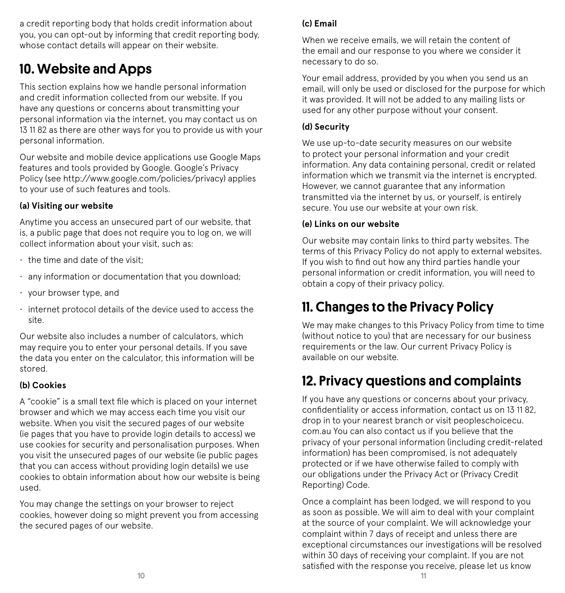a credit reporting body that holds credit information about you, you can opt-out by informing that credit reporting body, whose contact details will appear on their website.

#### 10. Website and Apps

This section explains how we handle personal information and credit information collected from our website. If you have any questions or concerns about transmitting your personal information via the internet, you may contact us on 13 11 82 as there are other ways for you to provide us with your personal information.

Our website and mobile device applications use Google Maps features and tools provided by Google. Google's Privacy Policy (see http://www.google.com/policies/privacy) applies to your use of such features and tools.

#### **(a) Visiting our website**

Anytime you access an unsecured part of our website, that is, a public page that does not require you to log on, we will collect information about your visit, such as:

- $\cdot$  the time and date of the visit-
- any information or documentation that you download;
- your browser type, and
- internet protocol details of the device used to access the site.

Our website also includes a number of calculators, which may require you to enter your personal details. If you save the data you enter on the calculator, this information will be stored.

#### **(b) Cookies**

A "cookie" is a small text file which is placed on your internet browser and which we may access each time you visit our website. When you visit the secured pages of our website (ie pages that you have to provide login details to access) we use cookies for security and personalisation purposes. When you visit the unsecured pages of our website (ie public pages that you can access without providing login details) we use cookies to obtain information about how our website is being used.

You may change the settings on your browser to reject cookies, however doing so might prevent you from accessing the secured pages of our website.

#### **(c) Email**

When we receive emails, we will retain the content of the email and our response to you where we consider it necessary to do so.

Your email address, provided by you when you send us an email, will only be used or disclosed for the purpose for which it was provided. It will not be added to any mailing lists or used for any other purpose without your consent.

#### **(d) Security**

We use up-to-date security measures on our website to protect your personal information and your credit information. Any data containing personal, credit or related information which we transmit via the internet is encrypted. However, we cannot guarantee that any information transmitted via the internet by us, or yourself, is entirely secure. You use our website at your own risk.

#### **(e) Links on our website**

Our website may contain links to third party websites. The terms of this Privacy Policy do not apply to external websites. If you wish to find out how any third parties handle your personal information or credit information, you will need to obtain a copy of their privacy policy.

#### 11. Changes to the Privacy Policy

We may make changes to this Privacy Policy from time to time (without notice to you) that are necessary for our business requirements or the law. Our current Privacy Policy is available on our website.

### 12. Privacy questions and complaints

If you have any questions or concerns about your privacy, confidentiality or access information, contact us on 13 11 82, drop in to your nearest branch or visit peopleschoicecu. com.au You can also contact us if you believe that the privacy of your personal information (including credit-related information) has been compromised, is not adequately protected or if we have otherwise failed to comply with our obligations under the Privacy Act or (Privacy Credit Reporting) Code.

Once a complaint has been lodged, we will respond to you as soon as possible. We will aim to deal with your complaint at the source of your complaint. We will acknowledge your complaint within 7 days of receipt and unless there are exceptional circumstances our investigations will be resolved within 30 days of receiving your complaint. If you are not satisfied with the response you receive, please let us know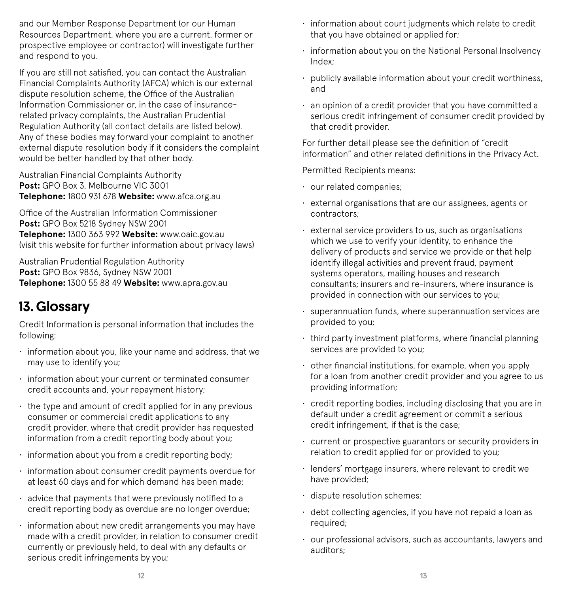and our Member Response Department (or our Human Resources Department, where you are a current, former or prospective employee or contractor) will investigate further and respond to you.

If you are still not satisfied, you can contact the Australian Financial Complaints Authority (AFCA) which is our external dispute resolution scheme, the Office of the Australian Information Commissioner or, in the case of insurancerelated privacy complaints, the Australian Prudential Regulation Authority (all contact details are listed below). Any of these bodies may forward your complaint to another external dispute resolution body if it considers the complaint would be better handled by that other body.

Australian Financial Complaints Authority **Post:** GPO Box 3, Melbourne VIC 3001 **Telephone:** 1800 931 678 **Website:** www.afca.org.au

Office of the Australian Information Commissioner **Post:** GPO Box 5218 Sydney NSW 2001 **Telephone:** 1300 363 992 **Website:** www.oaic.gov.au (visit this website for further information about privacy laws)

Australian Prudential Regulation Authority **Post:** GPO Box 9836, Sydney NSW 2001 **Telephone:** 1300 55 88 49 **Website:** www.apra.gov.au

### 13. Glossary

Credit Information is personal information that includes the following:

- information about you, like your name and address, that we may use to identify you;
- information about your current or terminated consumer credit accounts and, your repayment history;
- $\cdot$  the type and amount of credit applied for in any previous consumer or commercial credit applications to any credit provider, where that credit provider has requested information from a credit reporting body about you;
- information about you from a credit reporting body;
- information about consumer credit payments overdue for at least 60 days and for which demand has been made;
- advice that payments that were previously notified to a credit reporting body as overdue are no longer overdue;
- information about new credit arrangements you may have made with a credit provider, in relation to consumer credit currently or previously held, to deal with any defaults or serious credit infringements by you;
- information about court judgments which relate to credit that you have obtained or applied for;
- information about you on the National Personal Insolvency Index;
- publicly available information about your credit worthiness, and
- an opinion of a credit provider that you have committed a serious credit infringement of consumer credit provided by that credit provider.

For further detail please see the definition of "credit information" and other related definitions in the Privacy Act.

Permitted Recipients means:

- our related companies;
- external organisations that are our assignees, agents or contractors;
- external service providers to us, such as organisations which we use to verify your identity, to enhance the delivery of products and service we provide or that help identify illegal activities and prevent fraud, payment systems operators, mailing houses and research consultants; insurers and re-insurers, where insurance is provided in connection with our services to you;
- superannuation funds, where superannuation services are provided to you;
- third party investment platforms, where financial planning services are provided to you;
- $\cdot$  other financial institutions, for example, when you apply for a loan from another credit provider and you agree to us providing information;
- credit reporting bodies, including disclosing that you are in default under a credit agreement or commit a serious credit infringement, if that is the case;
- current or prospective guarantors or security providers in relation to credit applied for or provided to you;
- lenders' mortgage insurers, where relevant to credit we have provided;
- dispute resolution schemes;
- debt collecting agencies, if you have not repaid a loan as required;
- our professional advisors, such as accountants, lawyers and auditors;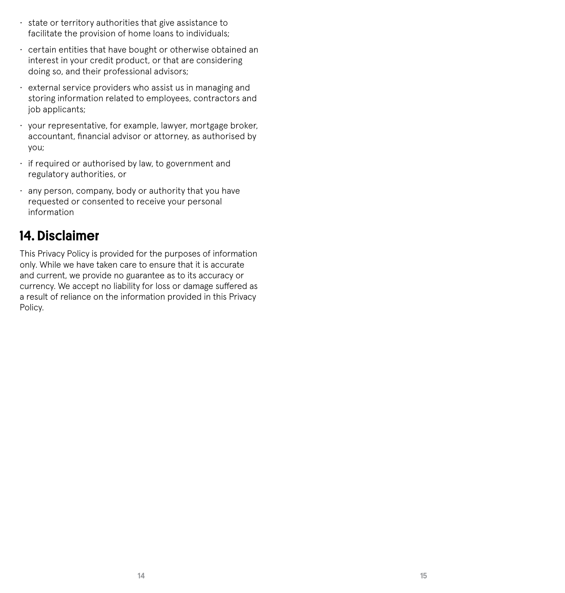- state or territory authorities that give assistance to facilitate the provision of home loans to individuals;
- certain entities that have bought or otherwise obtained an interest in your credit product, or that are considering doing so, and their professional advisors;
- external service providers who assist us in managing and storing information related to employees, contractors and iob applicants:
- your representative, for example, lawyer, mortgage broker, accountant, financial advisor or attorney, as authorised by you;
- if required or authorised by law, to government and regulatory authorities, or
- any person, company, body or authority that you have requested or consented to receive your personal information

#### 14. Disclaimer

This Privacy Policy is provided for the purposes of information only. While we have taken care to ensure that it is accurate and current, we provide no guarantee as to its accuracy or currency. We accept no liability for loss or damage suffered as a result of reliance on the information provided in this Privacy Policy.